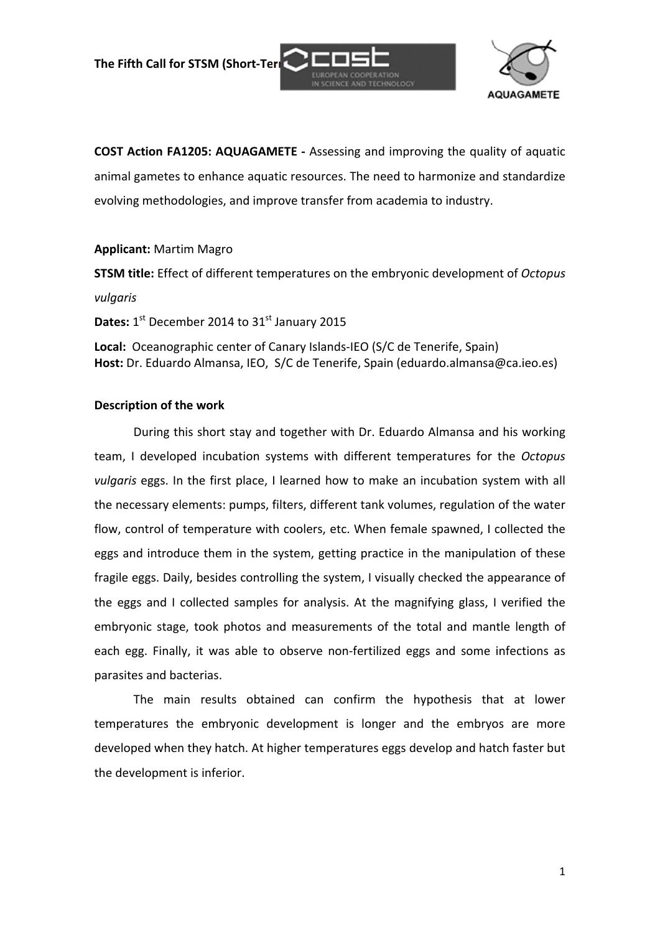**The Fifth Call for STSM (Short-Term** 





**COST Action FA1205: AQUAGAMETE ‐** Assessing and improving the quality of aquatic animal gametes to enhance aquatic resources. The need to harmonize and standardize evolving methodologies, and improve transfer from academia to industry.

### **Applicant:** Martim Magro

**STSM title:** Effect of different temperatures on the embryonic development of *Octopus*

#### *vulgaris*

**Dates:** 1<sup>st</sup> December 2014 to 31<sup>st</sup> January 2015

**Local:** Oceanographic center of Canary Islands‐IEO (S/C de Tenerife, Spain) **Host:** Dr. Eduardo Almansa, IEO, S/C de Tenerife, Spain (eduardo.almansa@ca.ieo.es)

### **Description of the work**

During this short stay and together with Dr. Eduardo Almansa and his working team, I developed incubation systems with different temperatures for the *Octopus vulgaris* eggs. In the first place, I learned how to make an incubation system with all the necessary elements: pumps, filters, different tank volumes, regulation of the water flow, control of temperature with coolers, etc. When female spawned, I collected the eggs and introduce them in the system, getting practice in the manipulation of these fragile eggs. Daily, besides controlling the system, I visually checked the appearance of the eggs and I collected samples for analysis. At the magnifying glass, I verified the embryonic stage, took photos and measurements of the total and mantle length of each egg. Finally, it was able to observe non-fertilized eggs and some infections as parasites and bacterias.

The main results obtained can confirm the hypothesis that at lower temperatures the embryonic development is longer and the embryos are more developed when they hatch. At higher temperatures eggs develop and hatch faster but the development is inferior.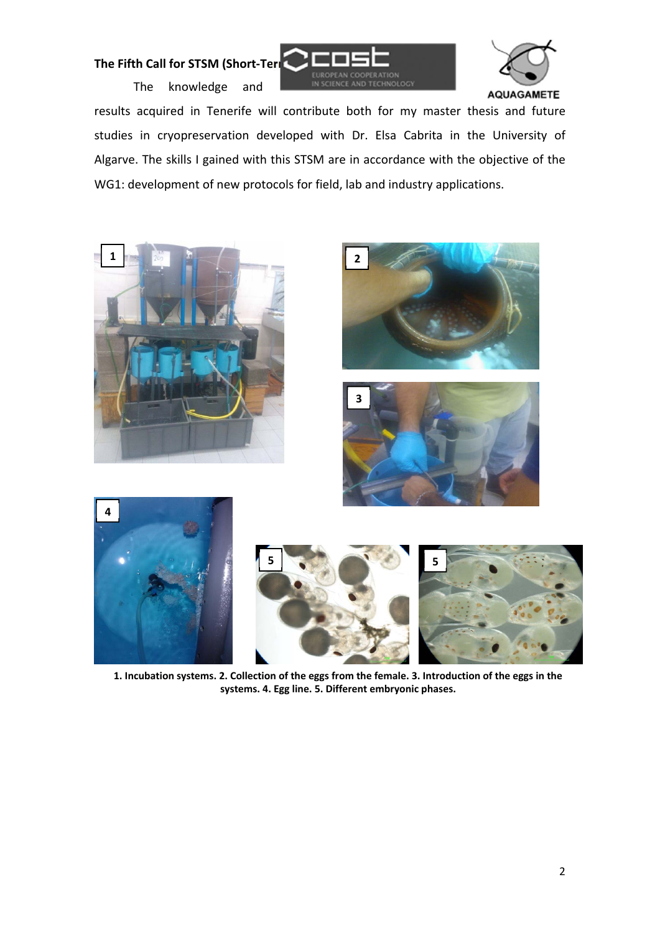# **The Fifth Call for STSM (Short-Term**

The knowledge and





results acquired in Tenerife will contribute both for my master thesis and future studies in cryopreservation developed with Dr. Elsa Cabrita in the University of Algarve. The skills I gained with this STSM are in accordance with the objective of the WG1: development of new protocols for field, lab and industry applications.









1. Incubation systems. 2. Collection of the eggs from the female. 3. Introduction of the eggs in the **systems. 4. Egg line. 5. Different embryonic phases.**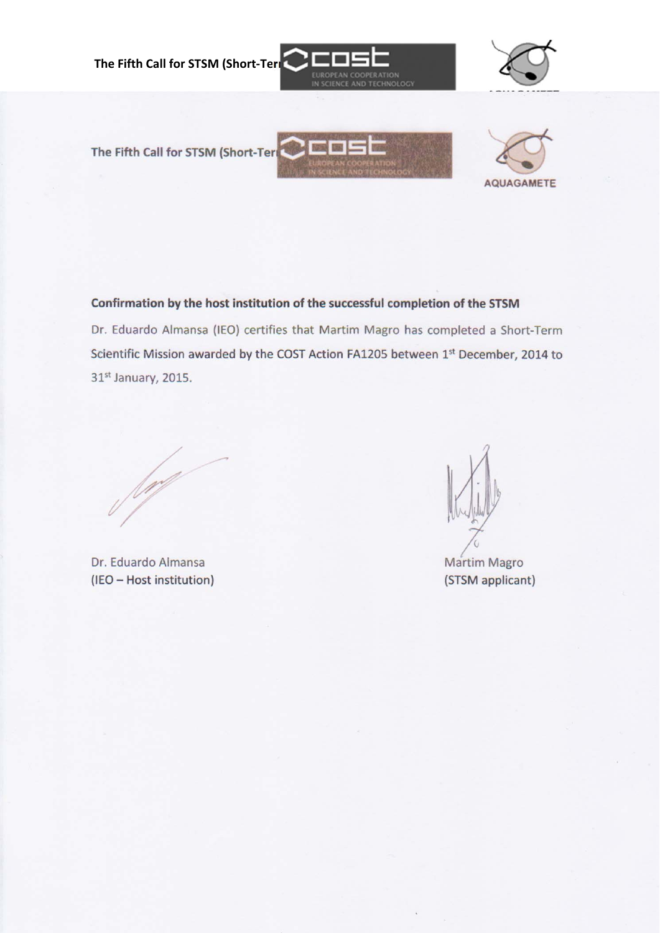

Confirmation by the host institution of the successful completion of the STSM

Dr. Eduardo Almansa (IEO) certifies that Martim Magro has completed a Short-Term Scientific Mission awarded by the COST Action FA1205 between 1st December, 2014 to 31st January, 2015.

Dr. Eduardo Almansa (IEO - Host institution)

Martim Magro (STSM applicant)